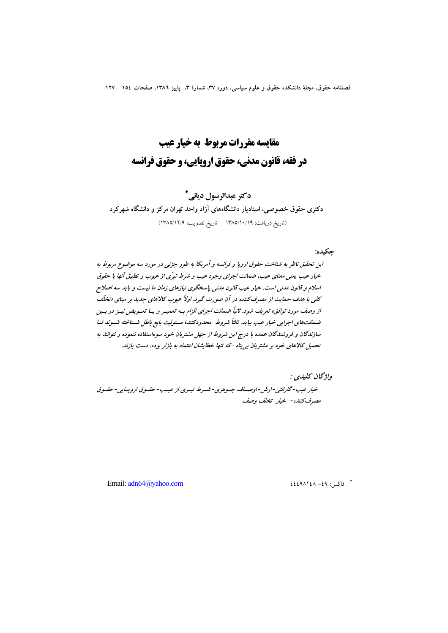# مقايسه مقررات مربوط به خيار عيب در فقه، قانون مدني، حقوق اروپايي، و حقوق فرانسه

# دکتر عبدالرسول دیانی\*

دکتری حقوق خصوصی، استادیار دانشگاههای آزاد واحد تهران مرکز و دانشگاه شهرکرد (تاريخ دريافت: ١٣٨٥/١٠/١٩ تاريخ تصويب: ١٣٨٥/١٢/٩)

جكيده:

اين تحقيق ناظر به شناخت حقوق اروپا و فرانسه و آمريكا به طور جزئي در مورد سه موضوع مربوط به .<br>خبار عیب بعنبر معنای عیب، ضدانت اجرای وجود عیب و شرط تیرّی از عبوب و تطبیق آنها با حقوق اسلام و قانون مدنی است. خیار عیب قانون مدنی باسخگوی نیازهای زمان ما نیست و باید سه اصلاح کلی با هدف حمایت از مصرف کننده در آن صورت گیرد. اولاً عیوب کالاهای جدید بر مبنای «تخلّف از وصف مورد توافق» تعریف شود. ثانیاً ضمانت اجرای الزام بـه تعمیـر و یـا تعـویض نیـز در بـین ضمانت های اجرایی خیار عیب بیاید. ثالثاً شروط ِ محدودکنندهٔ مسئولیت بایع باطل شسناخته شسوند تسا سازندگان و فروشندگان عمده با درج این شروط از جهل مشتریان خود سوءاستفاده ننموده و نتوانند به تحمیل کالاهای خود بر مشتریان بی پناه -که تنها خطایشان اعتماد به بازار بوده، دست یازند.

واژگان کليدي : خيار عيب-گارانتي-ارش-اوصياف جيوهري-شيرط تبيري از عيب-حقيوق اروپيايي-حقيوق مصرف كننده- خيار تخلف وصف

Email: adn64@vahoo.com

 $222212A - 29$  : فاكس : ٤٩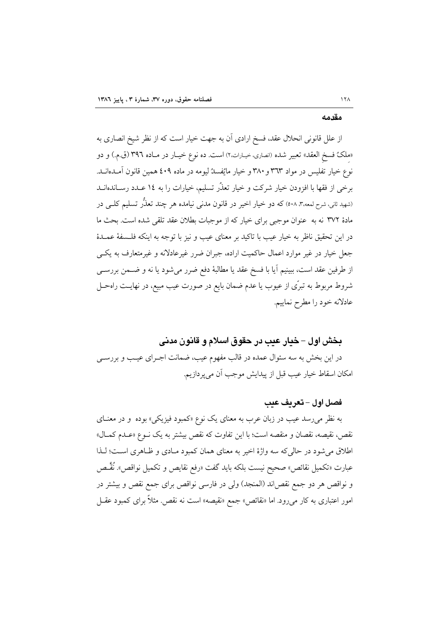#### مقدمه

از علل قانونی انحلال عقد، فسخ ارادی آن به جهت خیار است که از نظر شیخ انصاری به «ملکهٔ فسخ العقد» تعبیر شده (انصاری، خیـارات،۲) است. ده نوع خیـار در مـاده ۳۹٦ (ق.م.) و دو نوع خیار تفلیس در مواد ۳٦٣ و ٣٨٠ و خیار مائِفسدُ لیومه در ماده ٤٠٩ همین قانون آمـدهانــد. برخی از فقها با افزودن خیار شرکت و خیار تعذُر تسلیم، خیارات را به ١٤ عــدد رســاندهانــد (شهید ثانی، شرح لمعه،۳، ٥٠٨) که دو خیار اخیر در قانون مدنی نیامده هر چند تعذُّر تسلیم کلــی در مادهٔ ۳۷۲ نه به عنوان موجبی برای خیار که از موجبات بطلان عقد تلقی شده است. بحث ما در این تحقیق ناظر به خیار عیب با تاکید بر معنای عیب و نیز با توجه به اینکه فلـسفهٔ عمـدهٔ جعل خیار در غیر موارد اعمال حاکمیت اراده، جبران ضرر غیرعادلانه و غیرمتعارف به یکبی از طرفین عقد است، ببینیم آیا با فسخ عقد یا مطالبهٔ دفع ضرر میشود یا نه و ضـمن بررســی شروط مربوط به تبرَّى از عیوب یا عدم ضمان بایع در صورت عیب مبیع، در نهایـت راهحــل عادلانه خود را مطرح نماییم.

# بخش اول – خيار عيب در حقوق اسلام و قانون مدنى

در این بخش به سه سئوال عمده در قالب مفهوم عیب، ضمانت اجـرای عیـب و بررسـی امكان اسقاط خيار عيب قبل از پيدايش موجب آن مي پر دازيم.

## فصل اول – تعريف عيب

به نظر میرسد عیب در زبان عرب به معنای یک نوع «کمبود فیزیکی» بوده و در معنـای نقص، نقیصه، نقصان و منقصه است؛ با این تفاوت که نقص بیشتر به یک نــوع «عــدم کمــال» اطلاق می شود در حالی که سه واژهٔ اخیر به معنای همان کمبود مـادی و ظـاهری اسـت؛ لـذا عبارت «تكميل نقائص» صحيح نيست بلكه بايد گفت «رفع نقايص و تكميل نواقص». نُقَّـص و نواقص هر دو جمع نقصاند (المنجد) ولي در فارسي نواقص براي جمع نقص و بيشتر در امور اعتباری به کار میرود. اما «نقائص» جمع «نقیصه» است نه نقص. مثلاً برای کمبود عقــل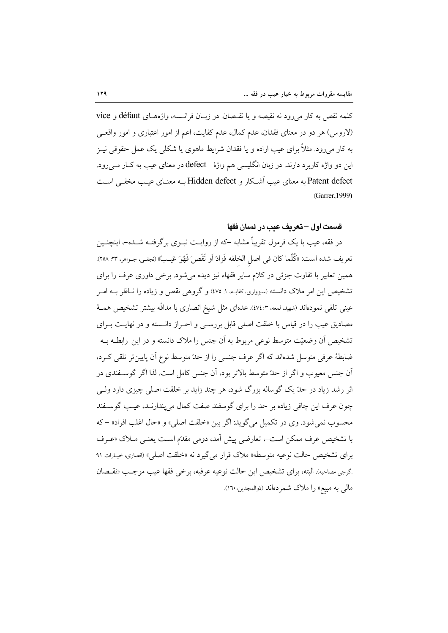كلمه نقص به كار مى رود نه نقيصه و يا نقـصان. در زبــان فرانــسه، واژههــاى défaut و vice (لاروس) هر دو در معنای فقدان، عدم کمال، عدم کفایت، اعم از امور اعتباری و امور واقعـی به کار میرود. مثلاً برای عیب اراده و یا فقدان شرایط ماهوی یا شکلی یک عمل حقوقی نیـز این دو واژه کاربرد دارند. در زبان انگلیسی هم واژهٔ defect در معنای عیب به کـار مــی رود. Patent defect به معنای عیب آشکار و Hidden defect به معنیای عیب مخفی است (Garrer, 1999)

#### ق*سم*ت اول —تعريف عيب در لسان فقها

در فقه، عیب با یک فرمول تقریباً مشابه –که از روایـت نبـوی برگرفتــه شــده–، اینچنــین تعريف شده است: «كُلَّما كان في اصل الخلقه فَزادَ اَو نَقَص َفَهُوَ عَيـبٌ» (نجفـي، جـواهر، ٢٣. ٢٥٨). همین تعابیر با تفاوت جزئی در کلام سایر فقهاء نیز دیده می شود. برخی داوری عرف را برای تشخیص این امر ملاک دانسته (سبزواری، کفایــه، ۱: ۷۵) و گروهی نقص و زیاده را نــاظر بــه امــر عینی تلقی نمودهاند (شهید، لمعه، ٤٧٤:٣). عدهای مثل شیخ انصاری با مداقّه بیشتر تشخیص همـهٔ مصادیق عیب را در قیاس با خلقت اصلی قابل بررسـی و احــراز دانــسته و در نهایــت بــرای تشخیص اَن وضعیّت متوسط نوعی مربوط به اَن جنس را ملاک دانسته و در این رابطــه بــه ضابطهٔ عرفی متوسل شدهاند که اگر عرف جنسی را از حدّ متوسط نوع آن پایین تر تلقی کـرد، آن جنس معیوب و اگر از حدّ متوسط بالاتر بود، آن جنس کامل است. لذا اگر گوســفندی در اثر رشد زیاد در حدّ یک گوساله بزرگ شود، هر چند زاید بر خلقت اصلی چیزی دارد ولــی چون عرف این چاقی زیاده بر حد را برای گوسفند صفت کمال می پندارنـد، عیـب گوسـفند محسوب نمي شود. وي در تكميل مي گويد: اگر بين «خلقت اصلي» و «حال اغلب افراد» – كه با تشخيص عرف ممكن است-، تعارضي پيش آمد، دومي مقدّم است يعنـي مــلاک «عــرف براي تشخيص حالت نوعيه متوسطه» ملاک قرار مي گيرد نه «خلقت اصلي» (انصاري، خيارات ٩١ گرجي مصاحبه). البته، براي تشخيص اين حالت نوعيه عرفيه، برخي فقها عيب موجب «نقيصان مال<sub>ی</sub> به مبیع» را ملاک شمردهاند (ذوالمجدین،۱٦۰).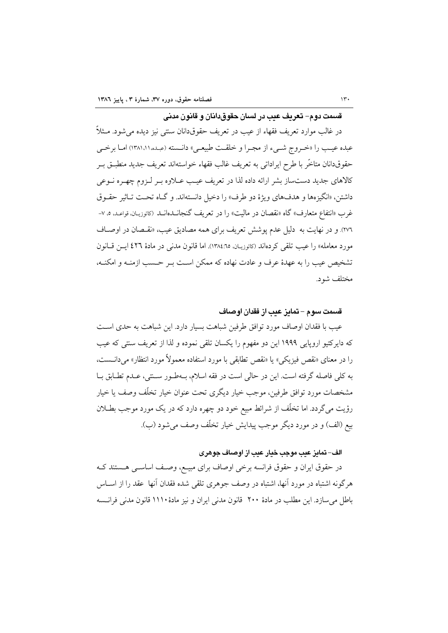ق*سمت د*وم– تعريف عيب در لسان حقوق دانان و قانون مدني

در غالب موارد تعریف فقهاء از عیب در تعریف حقوقدانان سنتی نیز دیده می شود. مــثلاً عبده عيب را «خـروج شـيء از مجـرا و خلقـت طبيعـي» دانـسته (عبـده ١٣٨١،١١مـا برخـي حقوقدانان متاخَّر با طرح ايراداتي به تعريف غالب فقهاء خواستهاند تعريف جديد منطبــق بــر کالاهای جدید دستساز بشر ارائه داده لذا در تعریف عیب عـلاوه بـر لـزوم چهـره نـوعی داشتن، «انگيزهها و هدفهاي ويژهٔ دو طرف» را دخيل دانستهاند. و گـاه تحـت تـاثير حقـوق غرب «انتفاع متعارف» گاه «نقصان در ماليت» را در تعريف گنجانــدهانــد (كاتوزيــان، قواعـد، ٥، ٧-٢٧٦). و در نهايت به دليل عدم پوشش تعريف براي همه مصاديق عيب، «نقـصان در اوصــاف مورد معامله» را عيب تلقى كردهاند (كاتوزيـان، ١٣٨٤:٦٥). اما قانون مدنى در مادة ٤٢٦ ايــن قــانون تشخيص عيب را به عهدهٔ عرف و عادت نهاده كه ممكن است بـر حـسب ازمنــه و امكنــه، مختلف شود.

## قسمت سوم – تمايز عيب از فقدان اوصاف

عيب با فقدان اوصاف مورد توافق طرفين شباهت بسيار دارد. اين شباهت به حدى اسـت که دایرکتیو اروپایی ۱۹۹۹ این دو مفهوم را یکسان تلقی نموده و لذا از تعریف سنتی که عیب را در معناي «نقص فيزيكي» يا «نقص تطابقي با مورد استفاده معمولاً مورد انتظار» مي<انــست، به كلي فاصله گرفته است. اين در حالي است در فقه اسلام، بــهطـور ســنتي، عــدم تطــابق بــا مشخصات مورد توافق طرفين، موجب خيار ديگرى تحت عنوان خيار تخلّف وصف يا خيار رؤیت میگردد. اما تخلّف از شرائط مبیع خود دو چهره دارد که در یک مورد موجب بطـلان بيع (الف) و در مورد ديگر موجب پيدايش خيار تخلّف وصف مي شود (ب).

#### الف– تمايز عيب موجب خيار عيب از اوصاف جوهري

در حقوق ایران و حقوق فرانسه برخی اوصاف برای مبیـع، وصـف اساســی هــستند کــه هرگونه اشتباه در مورد أنها، اشتباه در وصف جوهري تلقى شده فقدان أنها ًعقد را از اســاس باطل می سازد. این مطلب در مادهٔ ۲۰۰ قانون مدنی ایران و نیز مادهٔ ۱۱۱۰ قانون مدنی فرانسه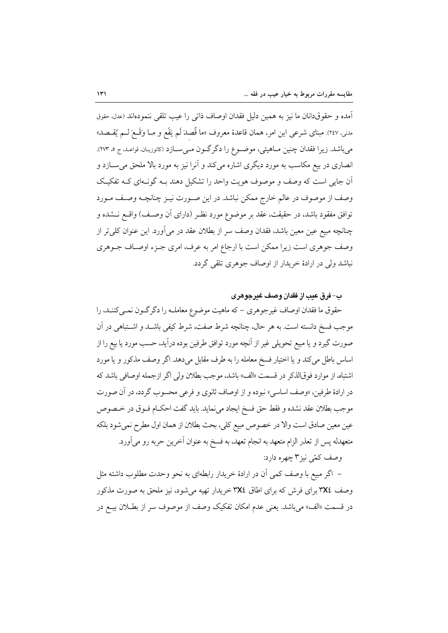آمده و حقوقدانان ما نيز به همين دليل فقدان اوصاف ذات<sub>ى ر</sub>ا عيب تلقى ننمودهاند (عدل<sub>ًا</sub> حقوق مدني، ٢٤٧). مبناي شرعي اين امر، همان قاعدهٔ معروف «ما قُصدَ لَم يَقَع و مــا وَقَــعَ لــم يُقــصـد» مي باشد. زيرا فقدان چنين مــاهيتي، موضــوع را دگر گــون مــي ســازد (كاتوزيــان، قواعـد، ج ٥، ٢٧٣). انصاری در بیع مکاسب به مورد دیگری اشاره میکند و آنرا نیز به مورد بالا ملحق می ســازد و آن جایی است که وصف و موصوف هویت واحد را تشکیل دهند بـه گونـهای کـه تفکیـک وصف از موصوف در عالم خارج ممکن نباشد. در این صـورت نیــز چنانچــه وصــف مــورد توافق مفقود باشد، در حقیقت، عقد بر موضوع مورد نظـر (دارای آن وصـف) واقــع نــشده و چنانچه مبیع عین معین باشد، فقدان وصف سر از بطلان عقد در می آورد. این عنوان کلی تر از وصف جوهري است زيرا ممكن است با ارجاع امر به عرف، امرى جـزء اوصـاف جـوهري نباشد ولي در ارادهٔ خريدار از اوصاف جوهري تلقي گردد.

ب– فرق عدت از فقدان وصف غيرجوهري

حقوق ما فقدان اوصاف غیرجوهری – که ماهیت موضوع معاملـه را دگرگـون نمـیکننـد، را موجب فسخ دانسته است. به هر حال، چنانچه شرط صفت، شرط کیفی باشــد و اشــتباهی در آن صورت گیرد و یا مبیع تحویلی غیر از آنچه مورد توافق طرفین بوده درآید، حسب مورد یا بیع را از اساس باطل مي كند و يا اختيار فسخ معامله را به طرف مقابل مي دهد. اگر وصف مذكور و يا مورد اشتباه، از موارد فوقالذكر در قسمت «الف» باشد، موجب بطلان ولي اگر ازجمله اوصافي باشد كه در ارادهٔ طرفین، «وصف اساسی» نبوده و از اوصاف ثانوی و فرعی محسوب گردد، در آن صورت موجب بطلان عقد نشده و فقط حق فسخ ايجاد مى نمايد. بايد گفت احكـام فــوق در خــصوص عين معين صادق است والا در خصوص مبيع كلي، بحث بطلان از همان اول مطرح نمي شود بلكه متعهدله يس از تعذر الزام متعهد به انجام تعهد، به فسخ به عنوان آخرين حربه رو مي آورد. وصف کمّی نیز ۳ چهره دارد:

– اگر مبیع با وصف کمی آن در ارادهٔ خریدار رابطهای به نحو وحدت مطلوب داشته مثل وصف ٣X٤ برای فرش که برای اطاق ٣X٤ خریدار تهیه می شود، نیز ملحق به صورت مذکور در قسمت «الف» مي باشد. يعني عدم امكان تفكيك وصف از موصوف سر از بطــلان بيــع در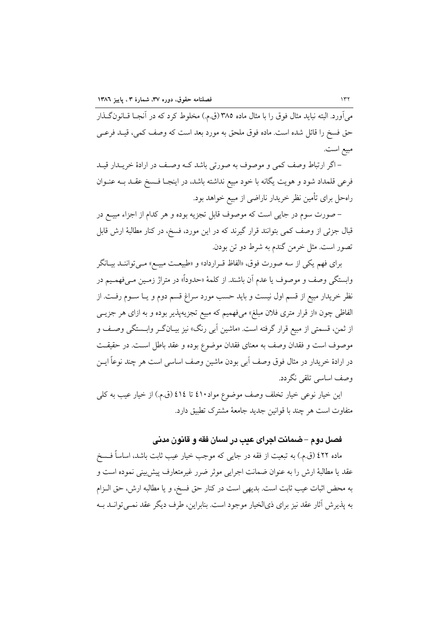می آورد. البته نباید مثال فوق را با مثال ماده ۳۸۵ (ق.م.) مخلوط کرد که در آنجــا قــانونگــذار حق فسخ را قائل شده است. ماده فوق ملحق به مورد بعد است که وصف کمی، قیـد فرعــی مبيع است.

– اگر ارتباط وصف کمی و موصوف به صورتی باشد کـه وصـف در ارادهٔ خریــدار قیـد فرعی قلمداد شود و هویت یگانه با خود مبیع نداشته باشد، در اینجـا فـسخ عقـد بــه عنــوان راهحل برای تأمین نظر خریدار ناراضی از مبیع خواهد بود.

– صورت سوم در جایی است که موصوف قابل تجزیه بوده و هر کدام از اجزاء مبیــع در قبال جزئی از وصف کمی بتوانند قرار گیرند که در این مورد، فسخ، در کنار مطالبهٔ ارش قابل تصور است. مثل خرمن گندم به شرط دو تن بودن.

برای فهم یکی از سه صورت فوق، «الفاظ قـرارداد» و «طبیعـت مبیــع» مــیتواننــد بیــانگر وابستگی وصف و موصوف یا عدم آن باشند. از کلمهٔ «حدوداً» در متراژ زمـین مـیفهمـیم در نظر خریدار مبیع از قسم اول نیست و باید حسب مورد سراغ قسم دوم و یــا ســوم رفــت. از الفاظي چون «از قرار متري فلان مبلغ» ميفهميم كه مبيع تجزيهپذير بوده و به ازاي هر جزيــي از ثمن، قسمتي از مبيع قرار گرفته است. «ماشين اَبي رنگ» نيز بيــانگــر وابـــمتگي وصــف و موصوف است و فقدان وصف به معناى فقدان موضوع بوده و عقد باطل اسـت. در حقيقـت در ارادهٔ خریدار در مثال فوق وصف آبی بودن ماشین وصف اساسی است هر چند نوعاً ایـــن وصف اساسی تلقی نگردد.

این خیار نوعی خیار تخلف وصف موضوع مواد٤١٠ تا ٤١٤ (ق.م.) از خیار عیب به کلی متفاوت است هر چند با قوانین جدید جامعهٔ مشترک تطبیق دارد.

# فصل دو م – ضمانت اجرای عب در لسان فقه و قانون مدنی

ماده ٤٢٢ (ق.م.) به تبعيت از فقه در جايبي كه موجب خيار عيب ثابت باشد، اساساً فــسخ عقد يا مطالبهٔ ارش را به عنوان ضمانت اجرايي موثر ضرر غيرمتعارف پيش بيني نموده است و به محض اثبات عيب ثابت است. بديهي است در كنار حق فسخ، و يا مطالبه ارش، حق الــزام به پذيرش آثار عقد نيز براي ذيالخيار موجود است. بنابراين، طرف ديگر عقد نمـي توانــد بــه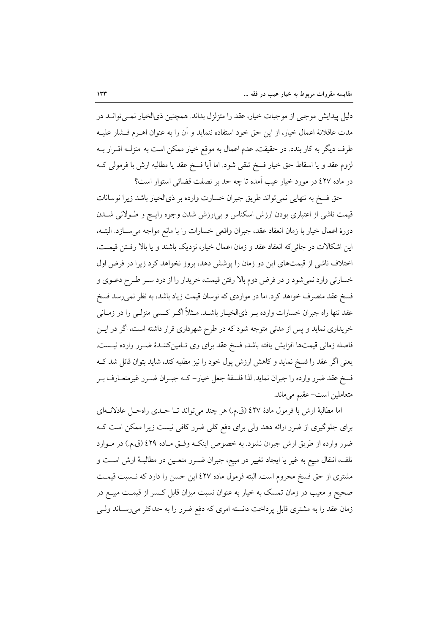دلیل پیدایش موجبی از موجبات خیار، عقد را متزلزل بداند. همچنین ذیالخیار نمـیتوانــد در مدت عاقلانهٔ اعمال خیار، از این حق خود استفاده ننماید و آن را به عنوان اهـرم فــشار علیــه طرف دیگر به کار بندد. در حقیقت، عدم اعمال به موقع خیار ممکن است به منزلــه اقــرار بــه لزوم عقد و يا اسقاط حق خيار فسخ تلقى شود. اما أيا فسخ عقد يا مطالبه ارش با فرمولي كــه در ماده ٤٢٧ در مورد خيار عيب آمده تا چه حد بر نصفت قضائي استوار است؟

حق فسخ به تنهایی نمی تواند طریق جبران خسارت وارده بر ذیالخیار باشد زیرا نوسانات قیمت ناشی از اعتباری بودن ارزش اسکناس و بی|رزش شدن وجوه رایــج و طــولانی شــدن دورة اعمال خيار با زمان انعقاد عقد، جبران واقعي خسارات را با مانع مواجه مي سـازد. البتــه، این اشکالات در جائی که انعقاد عقد و زمان اعمال خیار، نزدیک باشند و یا بالا رفتن قیمت، اختلاف ناشی از قیمتهای این دو زمان را پوشش دهد، بروز نخواهد کرد زیرا در فرض اول خسارتی وارد نمیشود و در فرض دوم بالا رفتن قیمت، خریدار را از درد سـر طـرح دعـوی و فسخ عقد منصرف خواهد كرد. اما در مواردي كه نوسان قيمت زياد باشد، به نظر نمي رسد فسخ عقد تنها راه جبران خسارات وارده بـر ذيالخيـار باشــد. مــثلاً اگــر كــسى منزلــي را در زمــانـي خریداری نماید و پس از مدتی متوجه شود که در طرح شهرداری قرار داشته است، اگر در ایــن فاصله زمانی قیمتها افزایش یافته باشد، فسخ عقد برای وی تـامینکننـدهٔ ضـرر وارده نیـست. يعني اگر عقد را فسخ نمايد و كاهش ارزش پول خود را نيز مطلبه كند، شايد بتوان قائل شد ك فسخ عقد ضرر وارده را جبران نمايد. لذا فلسفهٔ جعل خيار– كـه جبـران ضـرر غيرمتعــارف بـر متعاملین است– عقیم می ماند.

اما مطالبهٔ ارش با فرمول مادهٔ ٤٢٧ (ق.م.) هر چند می تواند تــا حــدی راهحــل عادلانــهای برای جلوگیری از ضرر ارائه دهد ولی برای دفع کلی ضرر کافی نیست زیرا ممکن است ک ضرر وارده از طریق ارش جبران نشود. به خصوص اینکه وفتی مـاده ٤٢٩ (ق.م.) در مـوارد تلف، انتقال مبیع به غیر یا ایجاد تغییر در مبیع، جبران ضـرر متعـین در مطالبـهٔ ارش اسـت و مشتری از حق فسخ محروم است. البته فرمول ماده ٤٢٧ این حسن را دارد که نـسبت قیمـت صحیح و معیب در زمان تمسک به خیار به عنوان نسبت میزان قابل کـسر از قیمـت مبیــع در زمان عقد را به مشتری قابل پرداخت دانسته امری که دفع ضرر را به حداکثر میرساند ولـی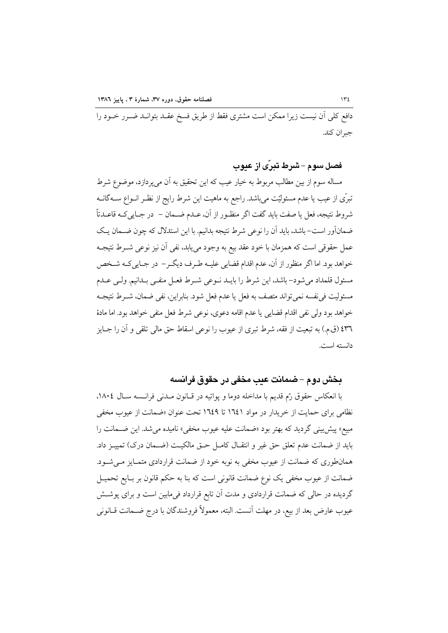دافع کلی اَن نیست زیرا ممکن است مشتری فقط از طریق فسخ عقــد بتوانــد ضــرر خــود را جبران كند.

## قصل سو م –شرط تبرّي از عبوب

مساله سوم از بین مطالب مربوط به خیار عیب که این تحقیق به آن میپردازد، موضوع شرط تبرّي از عيب يا عدم مسئوليّت ميباشد. راجع به ماهيت اين شرط رايج از نظـر انــواع ســـهگانــه شروط نتيجه، فعل يا صفت بايد گفت اگر منظـور از آن، عــدم ضــمان – در جــايـي٤ــه قاعــدتاً ضمانآور است– باشد، باید آن را نوعی شرط نتیجه بدانیم. با این استدلال که چون ضـمان یـک عمل حقوقی است که همزمان با خود عقد بیع به وجود مییابد، نفی آن نیز نوعی شــرط نتیجــه خواهد بود. اما اگر منظور از آن، عدم اقدام قضایی علیـه طـرف دیگـر– در جـاییکـه شـخص مسئول قلمداد مىشود– باشد، اين شرط را بايـد نــوعى شــرط فعــل منفــى بــدانيم. ولــى عــدم مسئوليت في نفسه نمي تواند متصف به فعل يا عدم فعل شود. بنابراين، نفي ضمان، شــرط نتيجــه خواهد بود ولي نفي اقدام قضايي يا عدم اقامه دعوى، نوعي شرط فعل منفي خواهد بود. اما مادهٔ ٤٣٦ (ق.م.) به تبعيت از فقه، شرط تبرى از عيوب را نوعي اسقاط حق مالي تلقى و آن را جــايز دانسته است.

#### بخش دوم – ضمانت عيب مخفى در حقوق فرانسه

با انعکاس حقوق رُم قديم با مداخله دوما و يواتيه در قـانون مـدني فرانـسه سـال ١٨٠٤، نظامی برای حمایت از خریدار در مواد ۱٦٤١ تا ١٦٤٩ تحت عنوان «ضمانت از عیوب مخفی مبیع» پیش بینی گردید که بهتر بود «ضمانت علیه عیوب مخفی» نامیده می شد. این ضـمانت را بايد از ضمانت عدم تعلق حق غير و انتقـال كامـل حـق مالكيـت (ضـمان درک) تمييــز داد. همانطوری که ضمانت از عیوب مخفی به نوبه خود از ضمانت قراردادی متمـایز مـی شـود. ضمانت از عيوب مخفى يک نوع ضمانت قانوني است که بنا به حکم قانون بر بـايع تحميــل گردیده در حالی که ضمانت قراردادی و مدت آن تابع قرارداد فیمابین است و برای پوشش عيوب عارض بعد از بيع، در مهلت آنست. البته، معمولاً فروشندگان با درج ضـمانت قــانونـي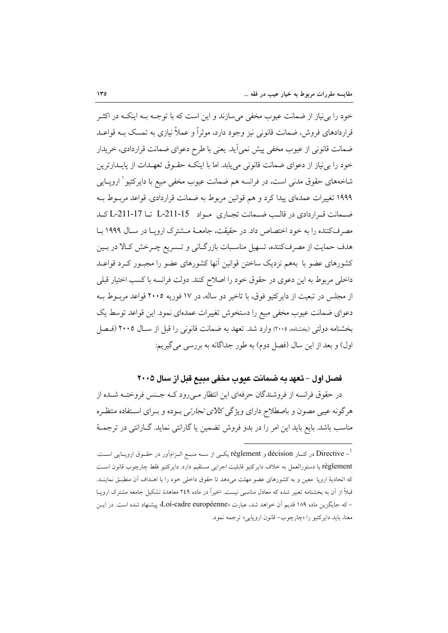خود را بی نیاز از ضمانت عیوب مخفی می سازند و این است که با توجـه بــه اینکــه در اکثــر قراردادهای فروش، ضمانت قانونی نیز وجود دارد، موثراً و عملاً نیازی به تمسک بــه قواعــد ضمانت قانونی از عیوب مخفی پیش نمی آید. یعنی با طرح دعوای ضمانت قراردادی، خریدار خود را بی نیاز از دعوای ضمانت قانونی می یابد. اما با اینکـه حقـوق تعهـدات از پایــدارترین شاخههای حقوق مدن<sub>ی</sub> است، در فرانسه هم ضمانت عیوب مخفی مبیع با دایرکتیو <sup>۱</sup> اروپــایی ۱۹۹۹ تغییرات عمدهای پیدا کرد و هم قوانین مربوط به ضمانت قراردادی. قواعد مربـوط بـه ضبعانت قبراردادی در قالب ضبعانت تجباری مبواد L-211-15 تنا L-211-17 کید مصرف کننده را به خود اختصاص داد. در حقیقت، جامعیهٔ میشترک اروپیا در سیال ۱۹۹۹ سا هدف حمایت از مصرفکننده، تسهیل مناسـبات بازرگـانی و تـسریع چـرخش کـالا در بـین کشورهای عضو با بههم نزدیک ساختن قوانین آنها کشورهای عضو را مجبـور کـرد قواعـد داخلی مربوط به این دعوی در حقوق خود را اصلاح کنند. دولت فرانسه با کسب اختیار قبلی از مجلس در تبعیت از دایرکتیو فوق، با تاخیر دو ساله، در ۱۷ فوریه ۲۰۰۵ قواعد مربـوط بـه دعوای ضمانت عیوب مخفی مبیع را دستخوش تغییرات عمدهای نمود. این قواعد توسط یک بخشنامه دولتی (بخشنامه، ۲۰۰۵) وارد شد. تعهد به ضمانت قانونی را قبل از سـال ۲۰۰۵ (فـصل اول) و بعد از این سال (فصل دوم) به طور جداگانه به بررسی می گیریم:

# فصل اول – تعهد به ضمانت عيوب مخفى مبيع قبل از سال ٢٠٠٥

در حقوق فرانسه از فروشندگان حرفهای این انتظار مـی(ود کــه جـنس فروختــه شــده از هرگونه عیبی مصون و باصطلاح دارای ویژگ*ی کالای تجارتی ب*ـوده و بــرای اســتفاده منتظــره مناسب باشد. بایع باید این امر را در بدو فروش تضمین یا گارانتی نماید. گــارانتی در ترجمــهٔ

<sup>&#</sup>x27; – Directive در کنــار décision و règlement یکــی از ســه منبــع الــزامآور در حقــوق اروپــایی اســت. règlement يا دستورالعمل به خلاف دايركتيو قابليت اجرايى مستقيم دارد. دايركتيو فقط چارچوب قانون است که اتحادیهٔ اروپا ً معین و به کشورهای عضو مهلت میدهد تا حقوق داخلی خود را با اهـداف اَن منطبـق نماینـد. قبلاً از آن به بخشنامه تعبیر شده که معادل مناسبی نیست. اخیراً در ماده ۲٤۹ معاهدهٔ تشکیل جامعه مشترک اروپــا – که جایگزین ماده ۱۸۹ قدیم آن خواهد شد، عبارت «Loi-cadre européenne» پیشنهاد شده است. در ایــن معنا، بايد دايركتيو را «چارچوب- قانون اروپايي» ترجمه نمود.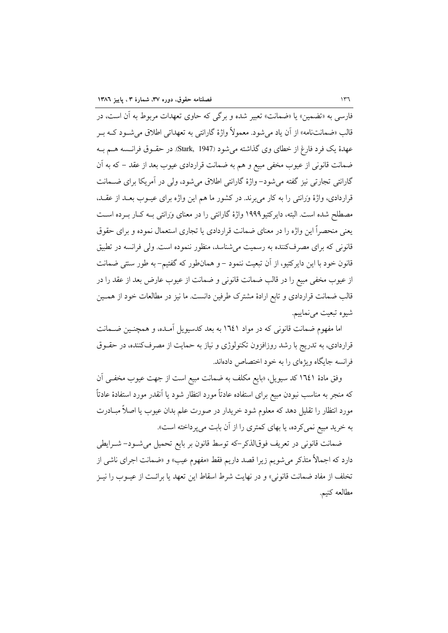.<br>فارسي به «تضمين» يا «ضمانت» تعيير شده و برگي كه حاوي تعهدات مربوط به آن است، در قالب «ضمانتنامه» از آن یاد میشود. معمولاً واژهٔ گارانتی به تعهداتی اطلاق میشـود کــه بـر عهدهٔ یک فرد فارغ از خطای وی گذاشته می شود (Stark, 1947). در حقـوق فرانــسه هــم بــه ضمانت قانونی از عیوب مخفی مبیع و هم به ضمانت قراردادی عیوب بعد از عقد – که به آن گارانتي تجارتي نيز گفته مي شود– واژهٔ گارانتي اطلاق مي شود، ولي در آمريکا براي ضــمانت قراردادی، واژهٔ وَرَانتی را به کار می برند. در کشور ما هم این واژه برای عیــوب بعــد از عقــد، مصطلح شده است. البته، دایر کتیو ۱۹۹۹ واژهٔ گارانتی را در معنای وَرانتی بـه کـار بـرده اسـت یعنی منحصراً این واژه را در معنای ضمانت قراردادی یا تجاری استعمال نموده و برای حقوق قانونی که برای مصرفکننده به رسمیت می شناسد، منظور ننموده است. ولی فرانسه در تطبیق قانون خود با این دایرکتیو، از آن تبعیت ننمود – و همانطور که گفتیم– به طور سنتی ضمانت از عیوب مخفی مبیع را در قالب ضمانت قانونی و ضمانت از عیوب عارض بعد از عقد را در قالب ضمانت قراردادی و تابع ارادهٔ مشترک طرفین دانست. ما نیز در مطالعات خود از همــین شيوه تبعيت مي نماييم.

اما مفهوم ضمانت قانونی که در مواد ۱۳٤۱ به بعد کدسیویل آمـده، و همچنـین ضـمانت قراردادی، به تدریج با رشد روزافزون تکنولوژی و نیاز به حمایت از مصرفکننده، در حقــوق فرانسه جایگاه ویژهای را به خود اختصاص دادهاند.

وفق مادهٔ ۱۳٤۱ کد سیویل، «بایع مکلف به ضمانت مبیع است از جهت عیوب مخفـی آن که منجر به مناسب نبودن مبیع برای استفاده عادتاً مورد انتظار شود یا آنقدر مورد استفادهٔ عادتاً مورد انتظار را تقلیل دهد که معلوم شود خریدار در صورت علم بدان عیوب یا اصلاً مبـادرت به خرید مبیع نمی کرده، یا بهای کمتری را از آن بابت می پرداخته است».

ضمانت قانونی در تعریف فوقالذکر-که توسط قانون بر بایع تحمیل میشود- شـرایطی دارد که اجمالاً متذکر میشویم زیرا قصد داریم فقط «مفهوم عیب» و «ضمانت اجرای ناشی از تخلف از مفاد ضمانت قانونی» و در نهایت شرط اسقاط این تعهد یا برائـت از عیــوب را نیــز مطالعه كنيم.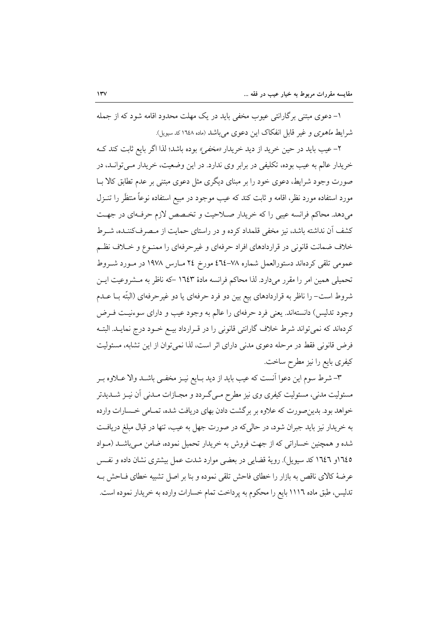۱– دعوی مبتنی برگارانتی عیوب مخفی باید در یک مهلت محدود اقامه شود که از جمله شرایط *ماهوی و غیر قابل انفکاک این دعوی می باشد (ماده ۱*۱۶۸ کد سیویل).

۲– عیب باید در حین خرید از دید خریدار *«مخفی»* بوده باشد؛ لذا اگر بایع ثابت کند کـه خریدار عالم به عیب بوده، تکلیفی در برابر وی ندارد. در این وضعیت، خریدار مـی توانـد، در صورت وجود شرایط، دعوی خود را بر مبنای دیگری مثل دعوی مبتنی بر عدم تطابق کالا بــا مورد استفاده مورد نظر، اقامه و ثابت کند که عیب موجود در مبیع استفاده نوعاً منتظَر را تنــزل میدهد. محاکم فرانسه عیبی را که خریدار صلاحیت و تخصص لازم حرفهای در جهت كشف آن نداشته باشد، نيز مخفى قلمداد كرده و در راستاي حمايت از مـصرفكننـده، شــرط خلاف ضمانت قانونی در قراردادهای افراد حرفهای و غیرحرفهای را ممنـوع و خــلاف نظـم عمومی تلقی کردهاند دستورالعمل شماره ٧٨–٢٤ مورخ ٢٤ مـارس ١٩٧٨ در مـورد شـروط تحمیلی همین امر را مقرر میدارد. لذا محاکم فرانسه مادهٔ ۱۳٤۳ –که ناظر به مـشروعیت ایـن شروط است– را ناظر به قراردادهای بیع بین دو فرد حرفهای یا دو غیرحرفهای (البتّه بــا عــدم وجود تدلیس) دانستهاند. یعنی فرد حرفهای را عالم به وجود عیب و دارای سوءنیت فـرض کردهاند که نمیتواند شرط خلاف گارانتی قانونی را در قـرارداد بیـع خـود درج نمایـد. البتـه فرض قانونی فقط در مرحله دعوی مدنی دارای اثر است، لذا نمیتوان از این تشابه، مسئولیت كيفري بايع را نيز مطرح ساخت.

٣-شرط سوم این دعوا آنست که عیب باید از دید بـایع نیــز مخفــی باشــد والا عــلاوه بــر مسئولیت مدنی، مسئولیت کیفری وی نیز مطرح مـیگـردد و مجـازات مـدنی آن نیــز شــدیدتر خواهد بود. بدین صورت که علاوه بر بر گشت دادن بهای دریافت شده، تمـامی خـسارات وارده به خریدار نیز باید جبران شود، در حالی که در صورت جهل به عیب، تنها در قبال مبلغ دریافت شده و همچنین خساراتی که از جهت فروش به خریدار تحمیل نموده، ضامن مـیباشــد (مــواد ١٦٤٥و ١٦٤٦ كد سيويل). روية قضايي در بعضي موارد شدت عمل بيشتري نشان داده و نفس عرضهٔ کالای ناقص به بازار را خطای فاحش تلقی نموده و بنا بر اصل تشبیه خطای فــاحش بــه تدلیس، طبق ماده ۱۱۱٦ بایع را محکوم به پرداخت تمام خسارات وارده به خریدار نموده است.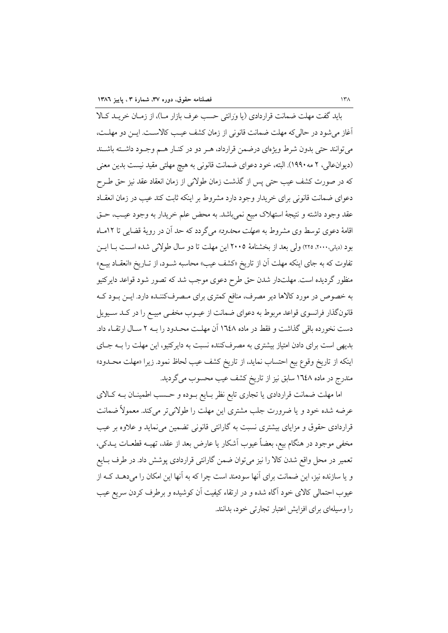بايد گفت مهلت ضمانت قراردادي (يا وَرَانتي حسب عرف بازار مـ)، از زمـان خريـد كـالا آغاز می شود در حالی که مهلت ضمانت قانونی از زمان کشف عیب کالاسـت. ایـن دو مهلـت، می توانند حتی بدون شرط ویژهای درضمن قرارداد، هـر دو در کنـار هـم وجـود داشـته باشـند (دیوانءالی، ۲ مه۱۹۹۰). البته، خود دعوای ضمانت قانونی به هیچ مهلتی مقید نیست بدین معنی كه در صورت كشف عيب حتى پس از گذشت زمان طولاني از زمان انعقاد عقد نيز حق طــرح دعوای ضمانت قانونی برای خریدار وجود دارد مشروط بر اینکه ثابت کند عیب در زمان انعقـاد عقد وجود داشته و نتيجهٔ استهلاک مبيع نمي باشد. به محض علم خريدار به وجود عيـب، حــق اقامهٔ دعوی توسط وی مشروط به «*مهلت محدود» می گر*دد که حد آن در رویهٔ قضایی تا ۱۲ماه بود (دیانی،۲۰۰۰، ۲۲۵) ولی بعد از بخشنامهٔ ۲۰۰۵ این مهلت تا دو سال طولانی شده اسـت بــا ایــن تفاوت که به جای اینکه مهلت آن از تاریخ «کشف عیب» محاسبه شــود، از تــاریخ «انعقــاد بیــع» منظور گردیده است. مهلتدار شدن حق طرح دعوی موجب شد که تصور شود قواعد دایرکتیو به خصوص در مورد كالاها دير مصرف، منافع كمترى براي مـصرفكننـده دارد. ايـن بـود كـه قانونگذار فرانسوی قواعد مربوط به دعوای ضمانت از عیـوب مخفـی مبیـع را در کـد سـیویل دست نخورده باقی گذاشت و فقط در ماده ۱٦٤٨ آن مهلـت محـدود را بـه ٢ سـال ارتقـاء داد. بدیهی است برای دادن امتیاز بیشتری به مصرفکننده نسبت به دایرکتیو، این مهلت را بـه جـای اينكه از تاريخ وقوع بيع احتساب نمايد، از تاريخ كشف عيب لحاظ نمود. زيرا «مهلت محـدود» مندرج در ماده ۱۳٤۸ سابق نیز از تاریخ کشف عیب محسوب میگردید.

اما مهلت ضمانت قراردادی یا تجاری تابع نظر بـایع بـوده و حـسب اطمینـان بــه کــالای عرضه شده خود و یا ضرورت جلب مشتری این مهلت را طولانیتر میکند. معمولاً ضمانت قراردادی حقوق و مزایای بیشتری نسبت به گارانتی قانونی تضمین می نماید و علاوه بر عیب مخفی موجود در هنگام بیع، بعضاً عیوب آشکار یا عارض بعد از عقد، تهیــه قطعــات یـــدکی، تعمیر در محل واقع شدن کالا را نیز میتوان ضمن گارانتی قراردادی پوشش داد. در طرف بـایع و یا سازنده نیز، این ضمانت برای آنها سودمند است چرا که به آنها این امکان را میدهــد کــه از عیوب احتمالی کالای خود آگاه شده و در ارتقاء کیفیت آن کوشیده و برطرف کردن سریع عیب را وسیلهای برای افزایش اعتبار تجارتی خود، بدانند.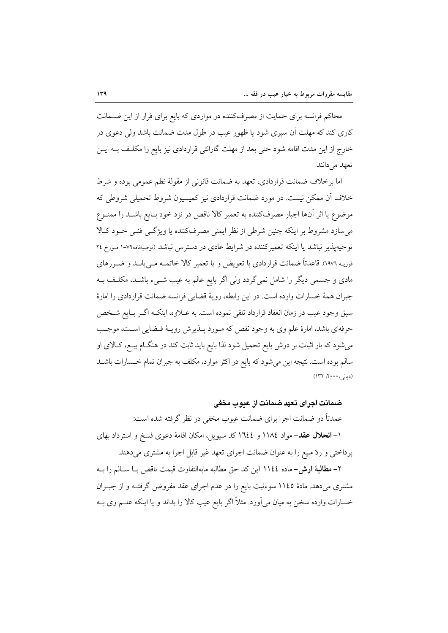محاکم فرانسه برای حمایت از مصرفکننده در مواردی که بایع برای فرار از این ضــمانت کاری کند که مهلت آن سپری شود یا ظهور عیب در طول مدت ضمانت باشد ولی دعوی در خارج از این مدت اقامه شود حتی بعد از مهلت گارانتی قراردادی نیز بایع را مکلـف بــه ایــن تعهد مي دانند.

اما برخلاف ضمانت قراردادي، تعهد به ضمانت قانوني از مقولهٔ نظم عمومي بوده و شرط خلاف آن ممکن نیست. در مورد ضمانت قراردادی نیز کمیسیون شروط تحمیلی شروطی که موضوع یا اثر آنها اجبار مصرفکننده به تعمیر کالا ناقص در نزد خود بـایع باشــد را ممنــوع می سازد مشروط بر اینکه چنین شرطی از نظر ایمنی مصرفکننده یا ویژگی فنبی خـود کـالا توجیه پذیر نباشد یا اینکه تعمیرکننده در شرایط عادی در دسترس نباشد (توصیهنامه۷۹-۱ مـورخ ۲٤ فوریـه ١٩٧٦). قاعدتاً ضمانت قراردادي با تعويض و يا تعمير كالا خاتمــه مــي!بــد و ضــررهاي مادی و جسمی دیگر را شامل نمیگردد ولی اگر بایع عالم به عیب شــیء باشــد، مکلـف بــه جبران همهٔ خسارات وارده است. در این رابطه، رویهٔ قضایی فرانسه ضمانت قراردادی را امارهٔ سبق وجود عيب در زمان انعقاد قرارداد تلقى نموده است. به عــلاوه، اينكــه اگــر بــايع شــخص حرفهای باشد، امارهٔ علم وی به وجود نقص که مـورد پــذیرش رویــهٔ قــضایی اســت، موجــب میشود که بار اثبات بر دوش بایع تحمیل شود لذا بایع باید ثابت کند در هنگــام بیــع، کــالای او سالم بوده است. نتیجه این میشود که بایع در اکثر موارد، مکلف به جبران تمام خـسارات باشــد (دیانی، ۲۰۰۰، ۱۳۲).

ضمانت اجرای تعهد ضمانت از عدوب مخفی

عمدتاً دو ضمانت اجرا براي ضمانت عيوب مخفى در نظر گرفته شده است: ۱– انحلال عقد– مواد ۱۱۸٤ و ١٦٤٤ كد سيويل، امكان اقامهٔ دعوى فسخ و استرداد بهاى یر داختی و ردّ مبیع را به عنوان ضمانت اجرای تعهد غیر قابل اجرا به مشتری می دهند.

٢– مطالبة ارش- ماده ١١٤٤ اين كد حق مطالبه مابهالتفاوت قيمت ناقص بــا ســالـم را بــه مشتری می دهد. مادهٔ ۱۱٤۵ سوءنیت بایع را در عدم اجرای عقد مفروض گرفتـه و از جبـران خسارات وارده سخن به میان میآورد. مثلاً اگر بایع عیب کالا را بداند و یا اینکه علــم وی بــه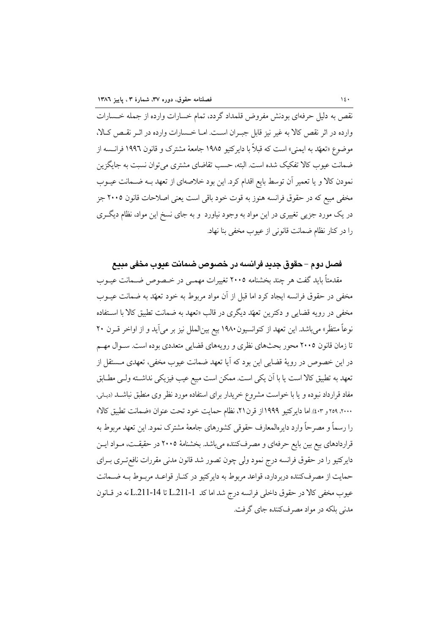.<br>نقص به دلیل حرفهای بودنش مفروض قلمداد گردد، تمام خسارات وارده از جمله خـسارات وارده در اثر نقص كالا به غير نيز قابل جبـران اسـت. امـا خـسارات وارده در اثـر نقـص كـالا، موضوع «تعهَّد به ايمني» است كه قبلاً با دايركتيو ١٩٨٥ جامعهٔ مشترک و قانون ١٩٩٦ فرانـــــــه از ضمانت عیوب کالا تفکیک شده است. البته، حسب تقاضای مشتری می توان نسبت به جایگزین نمودن كالا و يا تعمير آن توسط بايع اقدام كرد. اين بود خلاصهاى از تعهد بـه ضـمانت عيـوب مخفی مبیع که در حقوق فرانسه هنوز به قوت خود باقی است یعنی اصلاحات قانون ۲۰۰۵ جز در یک مورد جزیی تغییری در این مواد به وجود نیاورد و به جای نسخ این مواد، نظام دیگـری را در كنار نظام ضمانت قانوني از عيوب مخفى بنا نهاد.

#### فصل دوم – حقوق جدید فرانسه در خصوص ضمانت عیوب مخفی مبیع

مقدمتاً باید گفت هر چند بخشنامه ۲۰۰۵ تغییرات مهمـی در خـصوص ضـمانت عیــوب مخفی در حقوق فرانسه ایجاد کرد اما قبل از آن مواد مربوط به خود تعهّد به ضمانت عیــوب مخفی در رویه قضایی و دکترین تعهّد دیگری در قالب «تعهد به ضمانت تطبیق کالا با اسـتفاده نوعاً منتظَر» مي باشد. اين تعهد از كنوانسيون ١٩٨٠ بيع بينالملل نيز بر مي آيد و از اواخر قــرن ٢٠ تا زمان قانون ۲۰۰۵ محور بحثهای نظری و رویههای قضایی متعددی بوده است. سـوال مهـم در این خصوص در رویهٔ قضایی این بود که آیا تعهد ضمانت عیوب مخفی، تعهدی مــستقل از تعهد به تطبیق کالا است یا با آن یکی است. ممکن است مبیع عیب فیزیکی نداشــته ولــی مطـابق مفاد قرارداد نبوده و یا با خواست مشروع خریدار برای استفاده مورد نظر وی منطبق نباشــد (دیـانی، ٢٠٠٠، ٢٥٩ و ٤٠٣). اما داير كتبو ١٩٩٩ از قرن٢١، نظام حمايت خود تحت عنوان «ضمانت تطبيق كالا» را رسماً و مصرحاً وارد دایرەالمعارف حقوقی کشورهای جامعهٔ مشترک نمود. این تعهد مربوط به قراردادهای بیع بین بایع حرفهای و مصرفکننده میباشد. بخشنامهٔ ۲۰۰۵ در حقیقت، مـواد ایــن دایرکتیو را در حقوق فرانسه درج نمود ولی چون تصور شد قانون مدنی مقررات نافع تـری بـرای حمايت از مصر فكننده دربردارد، قواعد مربوط به داير كتيو در كنــار قواعــد مربــوط بــه ضــمانت عيوب مخفى كالا در حقوق داخلي فرانسه درج شد اما كد L.211-1 تا L.211-14 نه در قبانون مدنی بلکه در مواد مصرفکننده جای گرفت.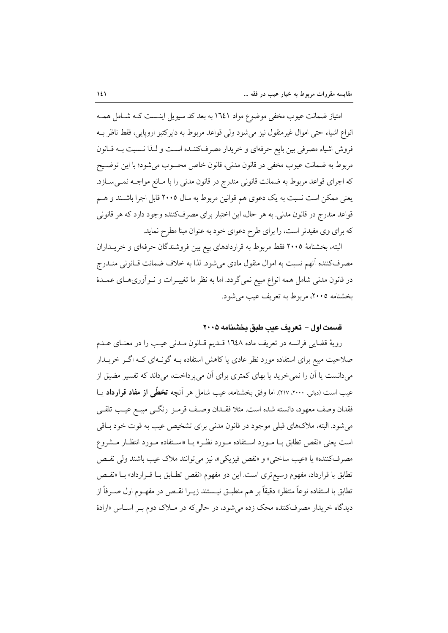امتیاز ضمانت عیوب مخفی موضوع مواد ۱٦٤١ به بعد کد سیویل اینـست کـه شـامل همـه انواع اشیاء حتی اموال غیرمنقول نیز میشود ولی قواعد مربوط به دایرکتیو اروپایی، فقط ناظر بــه فروش اشیاء مصرفی بین بایع حرفهای و خریدار مصرفکننـده اسـت و لـذا نـسبت بــه قــانون مربوط به ضمانت عيوب مخفى در قانون مدنى، قانون خاص محسوب مىشود؛ با اين توضــيح كه اجراي قواعد مربوط به ضمانت قانوني مندرج در قانون مدني را با مـانع مواجــه نمــيســازد. یعنی ممکن است نسبت به یک دعوی هم قوانین مربوط به سال ۲۰۰۵ قابل اجرا باشـند و هــم قواعد مندرج در قانون مدني. به هر حال، اين اختيار براي مصرفكننده وجود دارد كه هر قانوني که برای وی مفیدتر است، را برای طرح دعوای خود به عنوان مبنا مطرح نماید.

البته، بخشنامهٔ ۲۰۰۵ فقط مربوط به قراردادهای بیع بین فروشندگان حرفهای و خریــداران مصرفکننده آنهم نسبت به اموال منقول مادی میشود. لذا به خلاف ضمانت قــانونی منــدرج در قانون مدنی شامل همه انواع مبیع نمیگردد. اما به نظر ما تغییـرات و نــواَوریهــای عمــدهٔ بخشنامه ٢٠٠٥، مربوط به تعريف عيب مي شود.

## قسمت اول – تعريف عب طبق بخشنامه ٢٠٠٥

رويهٔ قضايي فرانسه در تعريف ماده ١٦٤٨ قلديم قـانون مـلدني عيـب را در معنـاي عـلـم صلاحیت مبیع برای استفاده مورد نظر عادی یا کاهش استفاده بــه گونــهای کــه اگــر خریــدار میدانست یا آن را نمی خرید یا بهای کمتری برای آن میپرداخت، میداند که تفسیر مضیق از عیب است (دیانی، ۲۰۰۰، ۲۱۷). اما وفق بخشنامه، عیب شامل هر آنچه **تخطّی از مفاد قرارداد** یــا فقدان وصف معهود، دانسته شده است. مثلا فقــدان وصـف قرمـز رنگــي مبيــع عيــب تلقــي می شود. البته، ملاکهای قبلی موجود در قانون مدنی برای تشخیص عیب به قوت خود بـاقی است یعنی «نقص تطابق بـا مـورد اسـتفاده مـورد نظـر» یـا «اسـتفاده مـورد انتظـار مـشروع مصرف كننده» يا «عيب ساختى» و «نقص فيزيكي»، نيز مي توانند ملاك عيب باشند ولي نقـص تطابق با قرارداد، مفهوم وسیع تری است. این دو مفهوم «نقص تطـابق بــا قــرارداد» بــا «نقــص تطابق با استفاده نوعاً منتظر» دقیقاً بر هم منطبــق نیــستند زیــرا نقــص در مفهــوم اول صــرفاً از دیدگاه خریدار مصرفکننده محک زده می شود، در حالی که در مــلاک دوم بـر اســاس «ارادهٔ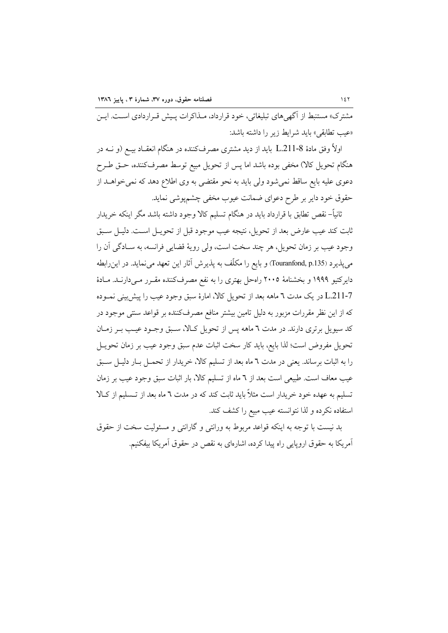مشترک» مستنبط از آگهیهای تبلیغاتی، خود قرارداد، مـذاکرات پـیش قـراردادی اسـت. ایــن «عيب تطابقي» بايد شرايط زير را داشته باشد:

اولاً وفق مادهٔ L.211-8 باید از دید مشتری مصرفکننده در هنگام انعقـاد بیــع (و نــه در هنگام تحویل کالا) مخفی بوده باشد اما پس از تحویل مبیع توسط مصرفکننده، حـق طـرح دعوی علیه بایع ساقط نمی شود ولی باید به نحو مقتضی به وی اطلاع دهد که نمی خواهــد از حقوق خود داير بر طرح دعواي ضمانت عيوب مخفى چشمپوشى نمايد.

ثانياً– نقص تطابق با قرارداد بايد در هنگام تسليم كالا وجود داشته باشد مگر اينكه خريدار ثابت کند عیب عارض بعد از تحویل، نتیجه عیب موجود قبل از تحویــل اســت. دلیــل ســبق وجود عيب بر زمان تحويل، هر چند سخت است، ولي رويهٔ قضايي فرانسه، به سـادگي اَن را می پذیرد (Touranfond, p.135) و بایع را مکلّف به پذیرش آثار این تعهد می نماید. در این رابطه دایرکتیو ۱۹۹۹ و بخشنامهٔ ۲۰۰۵ راهحل بهتری را به نفع مصرفکننده مقـرر مـیدارنــد. مـادهٔ L.211-7 در یک مدت ٦ ماهه بعد از تحویل کالا، امارهٔ سبق وجود عیب را پیش بینی نمـوده که از این نظر مقررات مزبور به دلیل تامین بیشتر منافع مصرفکننده بر قواعد سنتی موجود در کد سیویل برتری دارند. در مدت ٦ ماهه پس از تحویل کـالا، سـبق وجـود عیـب بـر زمـان تحویل مفروض است؛ لذا بایع، باید کار سخت اثبات عدم سبق وجود عیب بر زمان تحویــل را به اثبات برساند. یعنی در مدت ٦ ماه بعد از تسلیم کالا، خریدار از تحمــل بــار دلیــل ســبق عیب معاف است. طبیعی است بعد از ٦ ماه از تسلیم کالا، بار اثبات سبق وجود عیب بر زمان تسلیم به عهده خود خریدار است مثلاً باید ثابت کند که در مدت ٦ ماه بعد از تـسلیم از کـالا استفاده نكرده و لذا نتوانسته عيب مبيع را كشف كند.

بد نیست با توجه به اینکه قواعد مربوط به ورانتی و گارانتی و مسئولیت سخت از حقوق آمریکا به حقوق اروپایی راه پیدا کرده، اشارهای به نقص در حقوق آمریکا بیفکنیم.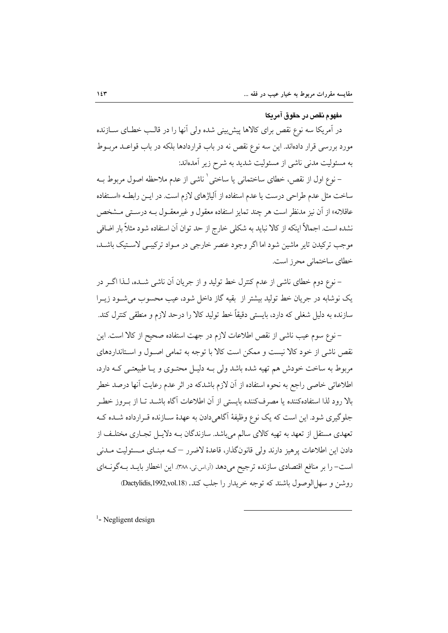## مفهوم نقص در حقوق آمريكا

در اَمریکا سه نوع نقص برای کالاها پیش بینی شده ولی اَنها را در قالـب خطـای ســازنده مورد بررسی قرار دادهاند. این سه نوع نقص نه در باب قراردادها بلکه در باب قواعـد مربــوط به مسئولیت مدنی ناشی از مسئولیت شدید به شرح زیر آمدهاند:

– نوع اول از نقص، خطاي ساختماني يا ساختي ` ناشي از عدم ملاحظه اصول مربوط بــه ساخت مثل عدم طراحی درست یا عدم استفاده از آلیاژهای لازم است. در ایــن رابطــه «اســتفاده عاقلانه» از آن نیز مدنظر است هر چند تمایز استفاده معقول و غیرمعقــول بــه درســتی مــشخص نشده است. اجمالاً اینکه از کالا نباید به شکلی خارج از حد توان آن استفاده شود مثلاً بار اضافی موجب تركيدن تاير ماشين شود اما اگر وجود عنصر خارجي در مـواد تركيبـي لاسـتيک باشـد. خطای ساختمانی محرز است.

– نوع دوم خطاي ناشي از عدم كنترل خط توليد و از جريان آن ناشي شـده، لـذا اگــر در یک نوشابه در جریان خط تولید بیشتر از بقیه گاز داخل شود، عیب محسوب می شود زیــرا سازنده به دلیل شغلی که دارد، بایستی دقیقاً خط تولید کالا را درحد لازم و منطقی کنترل کند.

– نوع سوم عيب ناشي از نقص اطلاعات لازم در جهت استفاده صحيح از كالا است. اين نقص ناشی از خود کالا نیست و ممکن است کالا با توجه به تمامی اصـول و اسـتانداردهای مربوط به ساخت خودش هم تهیه شده باشد ولی بـه دلیـل محتـوی و یـا طبیعتـی کـه دارد، اطلاعاتی خاصی راجع به نحوه استفاده از آن لازم باشدکه در اثر عدم رعایت آنها درصد خطر بالا رود لذا استفادهکننده یا مصرفکننده بایستی از آن اطلاعات آگاه باشــد تــا از بــروز خطــر جلوگیری شود. این است که یک نوع وظیفهٔ آگاهی دادن به عهدهٔ سـازنده قـرارداده شـده کـه تعهدی مستقل از تعهد به تهیه کالای سالم میباشد. سازندگان بـه دلایـل تجـاری مختلـف از دادن این اطلاعات پرهیز دارند ولی قانونگذار، قاعدهٔ لاضرر –کـه مبنــای مــسئولیت مــدنی است- را بر منافع اقتصادي سازنده ترجيح مي دهد (آر اس تي ٣٨٨). اين اخطار بايـد بـه گونـهاي روشن و سهل الوصول باشند که توجه خريدار را جلب کند. (Dactylidis,1992,vol.18)

<sup>1</sup>- Negligent design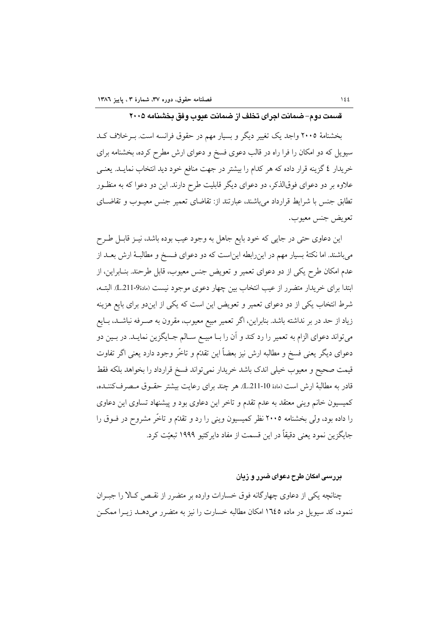قسمت دوم–ضمانت اجرای تخلف از ضمانت عیوب وفق بخشنامه ۲۰۰۵

بخشنامهٔ ۲۰۰۵ واجد یک تغییر دیگر و بسیار مهم در حقوق فرانسه است. بـ خلاف کـد سیویل که دو امکان را فرا راه در قالب دعوی فسخ و دعوای ارش مطرح کرده، بخشنامه برای خریدار ٤ گزینه قرار داده که هر کدام را بیشتر در جهت منافع خود دید انتخاب نمایــد. یعنــی علاوه بر دو دعوای فوقالذکر، دو دعوای دیگر قابلیت طرح دارند. این دو دعوا که به منظـور تطابق جنس با شرایط قرارداد می باشند، عبارتند از: تقاضای تعمیر جنس معبوب و تقاضیای تعويض جنس معبوب.

این دعاوی حتی در جایی که خود بایع جاهل به وجود عیب بوده باشد، نیـز قابـل طـرح میباشند. اما نکتهٔ بسیار مهم در اینِ رابطه اینِاست که دو دعوای فـسخ و مطالبـهٔ ارش بعــد از عدم امکان طرح یکی از دو دعوای تعمیر و تعویض جنس معیوب، قابل طرحند. بنـابراین، از ابتدا براي خريدار متضرر از عيب انتخاب بين چهار دعوى موجود نيست (مادة9-L.211). البتــه، شرط انتخاب یکی از دو دعوای تعمیر و تعویض این است که یکی از ایندو برای بایع هزینه زیاد از حد در بر نداشته باشد. بنابراین، اگر تعمیر مبیع معیوب، مقرون به صـرفه نباشــد، بــایع میتواند دعوای الزام به تعمیر را رد کند و آن را بـا مبیــع ســالم جــایگزین نمایــد. در بــین دو دعواي ديگر يعني فسخ و مطالبه ارش نيز بعضاً اين تقدّم و تاخّر وجود دارد يعني اگر تفاوت قيمت صحيح و معيوب خيلي اندك باشد خريدار نمي تواند فسخ قرارداد را بخواهد بلكه فقط قادر به مطالبهٔ ارش است (مادهٔ L211-10). هر چند برای رعایت بیشتر حقـوق مـصرفکننــده، کمیسیون خانم وینی معتقد به عدم تقدم و تاخر این دعاوی بود و پیشنهاد تساوی این دعاوی را داده بود، ولی بخشنامه ۲۰۰۵ نظر کمیسیون وینی را رد و تقدّم و تاخّر مشروح در فــوق را جايگزين نمود يعني دقيقاً در اين قسمت از مفاد داير کتيو ۱۹۹۹ تبعيّت کرد.

#### بررسی امکان طرح دعوای ضرر و زیان

چنانچه یکی از دعاوی چهارگانه فوق خسارات وارده بر متضرر از نقـص کـالا را جبـران ننمود، کد سیویل در ماده ۱۶۵ امکان مطالبه خسارت را نیز به متضرر می دهــد زیــرا ممکــن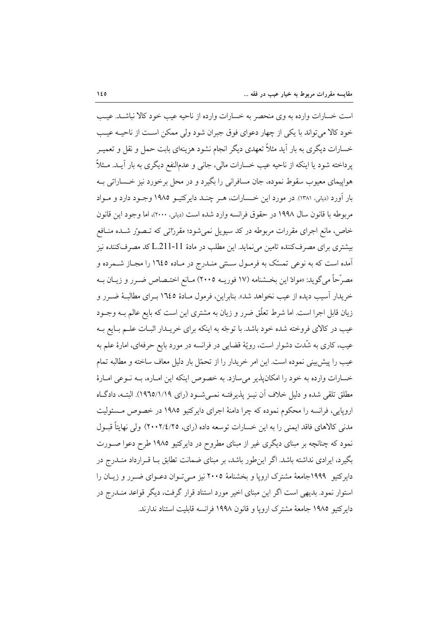است خسارات وارده به وي منحصر به خسارات وارده از ناحيه عيب خود كالا نباشـد. عيـب خود كالا مي تواند با يكي از چهار دعواي فوق جبران شود ولي ممكن است از ناحيـه عيـب خسارات دیگری به بار آید مثلاً تعهدی دیگر انجام نشود هزینهای بابت حمل و نقل و تعمیـر يرداخته شود يا اينكه از ناحيه عيب خسارات مالي، جاني و عدمالنفع ديگري به بار آيـد. مــثلاً هواپيماي معيوب سقوط نموده، جان مسافراني را بگيرد و در محل برخورد نيز خـساراتي بـه بار آورد (دیانی، ۱۳۸۱). در مورد این خـسارات، هـر چنـد دایرکتیـو ۱۹۸۵ وجـود دارد و مـواد مربوطه با قانون سال ۱۹۹۸ در حقوق فرانسه وارد شده است (دياني، ۲۰۰۰)، اما وجود اين قانون خاص، مانع اجرای مقررات مربوطه در کد سیویل نمیشود؛ مقرراتی که تـصور شـده منـافع بیشتری برای مصرفکننده تامین می نماید. این مطلب در مادهٔ L.211-11 کد مصرفکننده نیز آمده است که به نوعی تمسّک به فرمـول سـنتی منـدرج در مـاده ١٦٤٥ را مجـاز شـمرده و مصرّحاً می گوید: «موادّ این بخـشنامه (۱۷ فوریــه ۲۰۰۵) مـانع اختـصاص ضــرر و زیــان بــه خريدار آسيب ديده از عيب نخواهد شد». بنابراين، فرمول مـادهٔ ١٦٤٥ بـراي مطالبـهٔ ضــرر و زیان قابل اجرا است. اما شرط تعلّق ضرر و زیان به مشتری این است که بایع عالم بــه وجــود عیب در کالای فروخته شده خود باشد. با توجّه به اینکه برای خریــدار اثبــات علــم بــایع بــه عیب، کاری به شّدت دشوار است، رویّهٔ قضایی در فرانسه در مورد بایع حرفهای، امارهٔ علم به عیب را پیش بینی نموده است. این امر خریدار را از تحمّل بار دلیل معاف ساخته و مطالبه تمام خسارات وارده به خود را امكان يذير مي سازد. به خصوص اينكه اين امـاره، بــه نــوعي امــارهٔ مطلق تلقی شده و دلیل خلاف آن نیـز پذیرفتـه نمـی شـود (رای ۱۹٬۱/۱۹۵/). البتـه، دادگـاه اروپایی، فرانسه را محکوم نموده که چرا دامنهٔ اجرای دایرکتیو ۱۹۸۵ در خصوص مـسئولیت مدنی کالاهای فاقد ایمنی را به این خسارات توسعه داده (رای، ۲۰۰۲/٤/۲۵) ولی نهایتاً قبـول نمود که چنانچه بر مبنای دیگری غیر از مبنای مطروح در دایرکتیو ۱۹۸۵ طرح دعوا صـورت بگیرد، ایرادی نداشته باشد. اگر این طور باشد، بر مبنای ضمانت تطابق بـا قـرارداد منــدرج در دایرکتیو ۱۹۹۹جامعهٔ مشترک اروپا و بخشنامهٔ ۲۰۰۵ نیز مـیتـوان دعـوای ضـرر و زیــان را استوار نمود. بدیهی است اگر این مبنای اخیر مورد استناد قرار گرفت، دیگر قواعد منــدرج در دايركتيو ١٩٨٥ جامعهٔ مشترک اروپا و قانون ١٩٩٨ فرانسه قابليت استناد ندارند.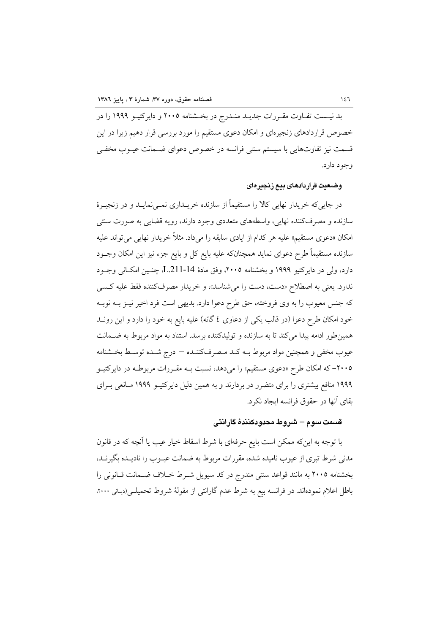بد نیست تفـاوت مقـررات جدیـد منـدرج در بخـشنامه ۲۰۰۵ و دایرکتیـو ۱۹۹۹ را در خصوص قراردادهای زنجیرهای و امکان دعوی مستقیم را مورد بررسی قرار دهیم زیرا در این قسمت نیز تفاوتهایی با سیستم سنتی فرانسه در خصوص دعوای ضـمانت عیــوب مخفــی وجود دارد.

#### وضعيت قراردادهاى بيع زنجيرهاى

در جاییکه خریدار نهایی کالا را مستقیماً از سازنده خریــداری نمــیiمایــد و در زنجیــرهٔ سازنده و مصرفکننده نهایی، واسطههای متعددی وجود دارند، رویه قضایی به صورت سنتی امکان «دعوی مستقیم» علیه هر کدام از ایادی سابقه را میداد. مثلاً خریدار نهایی می تواند علیه سازنده مستقیماً طرح دعوای نماید همچنانکه علیه بایع کل و بایع جزء نیز این امکان وجــود دارد، ولي در دايركتيو ١٩٩٩ و بخشنامه ٢٠٠٥، وفق مادة L.211-14 چنـين امكــاني وجــود ندارد. يعني به اصطلاح «دست، دست را مي شناسد»، و خريدار مصرفكننده فقط عليه كسبي كه جنس معيوب را به وي فروخته، حق طرح دعوا دارد. بديهي است فرد اخير نيـز بــه نوبــه خود امکان طرح دعوا (در قالب یکی از دعاوی ٤ گانه) علیه بایع به خود را دارد و این رونــد همین طور ادامه پیدا می کند تا به سازنده و تولیدکننده برسد. استناد به مواد مربوط به ضـحانت عيوب مخفى و همچنين مواد مربوط بــه كــد مـصرفكننــده – درج شــده توســط بخــشنامه ۲۰۰۵– که امکان طرح «دعوی مستقیم» را میدهد، نسبت بـه مقـررات مربوطـه در دایرکتیـو ۱۹۹۹ منافع بیشتری را برای متضرر در بردارند و به همین دلیل دایرکتیـو ۱۹۹۹ مـانعی بـرای بقاي آنها در حقوق فرانسه ايجاد نكرد.

#### قسمت سوم – شروط محدودكنندهٔ گارانتی

با توجه به اینکه ممکن است بایع حرفهای با شرط اسقاط خیار عیب یا آنچه که در قانون مدنی شرط تبری از عیوب نامیده شده، مقررات مربوط به ضمانت عیــوب را نادیــده بگیرنــد، بخشنامه ٢٠٠٥ به مانند قواعد سنتي مندرج در كد سيويل شـرط خـلاف ضـمانت قـانوني را باطل اعلام نمودهاند. در فرانسه بیع به شرط عدم گارانتی از مقولهٔ شروط تحمیلـی(دیـانی ۲۰۰۰،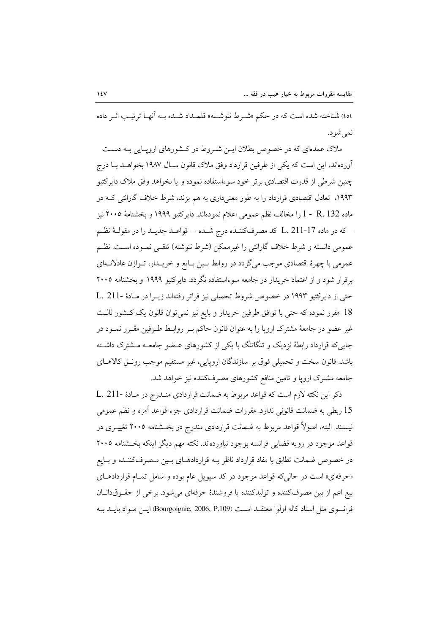٤٥٤) شناخته شده است كه در حكم «شـرط ننوشـته» قلمـداد شـده بـه أنهـا ترتيـب اثـر داده نمي شود.

ملاک عمدهای که در خصوص بطلان ایـن شـروط در کـشورهای اروپـایی بـه دسـت آوردهاند، این است که یکی از طرفین قرارداد وفق ملاک قانون سـال ۱۹۸۷ بخواهــد بــا درج .<br>چنین شرطی از قدرت اقتصادی برتر خود سوءاستفاده نموده و یا بخواهد وفق ملاک دایرکتیو ۱۹۹۳، تعادل اقتصادی قرارداد را به طور معنیداری به هم بزند، شرط خلاف گارانتی کــه در ماده R. 132 - 1 را مخالف نظم عمومی اعلام نمودماند. دایرکتیو ۱۹۹۹ و بخشنامهٔ ۲۰۰۵ نیز – که در ماده L. 211-17 کلـ مصرفکننـده درج شـده – قواعـد جديـد را در مقولـهٔ نظـم عمومي دانسته و شرط خلاف گارانتي را غيرممكن (شرط ننوشته) تلقـي نمـوده اسـت. نظـم عمومي با چهرهٔ اقتصادي موجب مي گردد در روابط بـين بـايع و خريـدار، تـوازن عادلانـهاي برقرار شود و از اعتماد خریدار در جامعه سوءاستفاده نگردد. دایرکتیو ۱۹۹۹ و بخشنامه ۲۰۰۵ حتی از دایرکتیو ۱۹۹۳ در خصوص شروط تحمیلی نیز فراتر رفتهاند زیـرا در مـادهٔ -L. 211 18 مقرر نموده كه حتى با توافق طرفين خريدار و بايع نيز نمى توان قانون يك كـشور ثالـث غیر عضو در جامعهٔ مشترک اروپا را به عنوان قانون حاکم بـر روابـط طـرفین مقـرر نمـود در جایی که قرارداد رابطهٔ نزدیک و تنگاتنگ با یکی از کشورهای عـضو جامعـه مـشترک داشـته باشد. قانون سخت و تحمیلی فوق بر سازندگان اروپایی، غیر مستقیم موجب رونـق کالاهــای جامعه مشترک ارویا و تامین منافع کشورهای مصرفکننده نیز خواهد شد.

ذكر اين نكته لازم است كه قواعد مربوط به ضمانت قراردادي منـدرج در مـادهٔ -L. 211 15 ربطي به ضمانت قانوني ندارد. مقررات ضمانت قراردادي جزء قواعد أمره و نظم عمومي نیستند. البته، اصولاً قواعد مربوط به ضمانت قراردادی مندرج در بخــشنامه ۲۰۰۵ تغییــری در قواعد موجود در رويه قضايي فرانسه بوجود نياوردهاند. نكته مهم ديگر اينكه بخــشنامه ٢٠٠٥ در خصوص ضمانت تطابق با مفاد قرارداد ناظر بــه قراردادهــاي بــين مــصرفكننــده و بــايع «حرفهای» است در حالی که قواعد موجود در کد سیویل عام بوده و شامل تمـام قراردادهـای بيع اعم از بين مصرفكننده و توليدكننده يا فروشندهٔ حرفهاى مى شود. برخى از حقـوقدانـان فرانسوي مثل استاد كاله اولوا معتقـد اسـت (Bourgoignie, 2006, P.109) ايــن مــواد بايــد بــه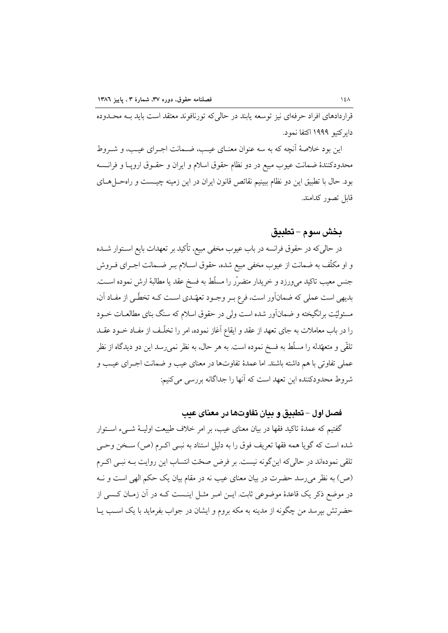قراردادهای افراد حرفهای نیز توسعه پابند در حالی که تورنافوند معتقد است باید بـه محـدوده دایر کتبو ۱۹۹۹ اکتفا نمود.

این بود خلاصهٔ آنچه که به سه عنوان معنـای عیـب، ضـمانت اجـرای عیـب، و شـروط محدودکنندهٔ ضمانت عیوب مبیع در دو نظام حقوق اسلام و ایران و حقــوق اروپــا و فرانــسه بود. حال با تطبیق این دو نظام ببینیم نقائص قانون ایران در این زمینه چیـست و راهحــلهـای قابل تصور كدامند.

#### بخش سوم – تطبيق

در حالی که در حقوق فرانسه در باب عیوب مخفی مبیع، تأکید بر تعهدات بایع اسـتوار شــده و او مکلّف به ضمانت از عیوب مخفی مبیع شده، حقوق اسـلام بـر ضـمانت اجـرای فـروش جنس معیب تاکید میeرزد و خریدار متضرّر را مسلّط به فسخ عقد یا مطالبهٔ ارش نموده اســت. بدیهی است عملی که ضمانآور است، فرع بـر وجـود تعهّـدي اسـت کـه تخطّـی از مفـاد آن، مسئولیّت برانگیخته و ضمانآور شده است ولی در حقوق اسلام که سنگ بنای مطالعــات خــود را در باب معاملات به جای تعهد از عقد و ایقاع آغاز نموده، امر را تخلّف از مفـاد خــود عقــد تلقَّى و متعهَّدله را مسلِّط به فسخ نموده است. به هر حال، به نظر نمي رسد اين دو ديدگاه از نظر عملي تفاوتي با هم داشته باشند. اما عمدهٔ تفاوتها در معناي عيب و ضمانت اجـراي عيـب و شروط محدودکننده این تعهد است که آنها را جداگانه بررسی میکنیم:

#### فصل اول – تطبيق و بيان تفاوتها در معناي عيب

گفتیم که عمدهٔ تاکید فقها در بیان معنای عیب، بر امر خلاف طبیعت اولیـهٔ شــیء اســتوار شده است كه گويا همه فقها تعريف فوق را به دليل استناد به نبـي اكـرم (ص) سـخن وحـي تلقی نمودهاند در حالی که این گونه نیست. بر فرض صحّت انتساب این روایت بــه نبــی اکــرم (ص) به نظر می رسد حضرت در بیان معنای عیب نه در مقام بیان یک حکم الهی است و نــه در موضع ذکر یک قاعدهٔ موضوعی ثابت. ایــن امــر مثــل اینــست کــه در آن زمــان کــسی از حضرتش بیرسد من چگونه از مدینه به مکه بروم و ایشان در جواب بفرماید با یک اسـب یــا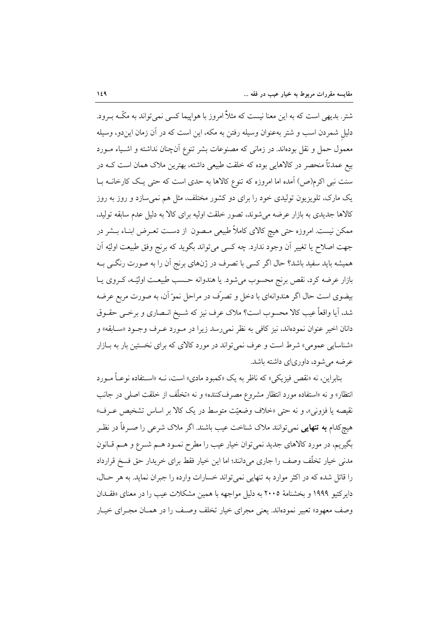شتر. بدیهی است که به این معنا نیست که مثلاً امروز با هواییما کسی نمی تواند به مکّــه بــرود. دلیل شمردن اسب و شتر بهعنوان وسیله رفتن به مکه، این است که در آن زمان ایندو، وسیله معمول حمل و نقل بودهاند. در زمانی که مصنوعات بشر تنوع آنچنان نداشته و اشـیاء مــورد بیع عمدتاً منحصر در کالاهایی بوده که خلقت طبیعی داشته، بهترین ملاک همان است کــه در سنت نبی اکرم(ص) آمده اما امروزه که تنوع کالاها به حدی است که حتی یـک کارخانــه بــا یک مارک، تلویزیون تولیدی خود را برای دو کشور مختلف، مثل هم نمی سازد و روز به روز کالاها جدیدی به بازار عرضه می شوند، تصور خلقت اولیه برای کالا به دلیل عدم سابقه تولید. ممکن نیست. امروزه حتی هیچ کالای کاملاً طبیعی مـصون از دسـت تعـرض ابنـاء بــشر در جهت اصلاح يا تغيير أن وجود ندارد. چه كسي مي تواند بگويد كه برنج وفق طبيعت اوليّه أن همیشه باید سفید باشد؟ حال اگر کسی با تصرف در ژنهای برنج آن را به صورت رنگــی بــه بازار عرضه کرد، نقص برنج محسوب میشود. یا هندوانه حسب طبیعـت اولیّـه، کـروی یــا بيضوي است حال اگر هندوانهاي با دخل و تصرّف در مراحل نمو آن، به صورت مربع عرضه شد، آیا واقعاً عیب کالا محسوب است؟ ملاک عرف نیز که شـیخ انـصاری و برخـی حقــوق دانان اخير عنوان نمودهاند، نيز كافي به نظر نمي رسد زيرا در مـورد عـرف وجـود «سـابقه» و «شناسایی عمومی» شرط است و عرف نمی تواند در مورد کالای که برای نخستین بار به بازار عرضه می شود، داوریای داشته باشد.

بنابراين، نه «نقص فيزيكي» كه ناظر به يك «كمبود مادي» است، نــه «اســتفاده نوعــاً مــورد انتظار» و نه «استفاده مورد انتظار مشروع مصرفکننده» و نه «تخلَّف از خلقت اصلی در جانب نقیصه یا فزونی»، و نه حتی «خلاف وضعیّت متوسط در یک کالا بر اساس تشخیص عـرف» هیچکدام **به تنهایی** نمیٍتوانند ملاک شناخت عیب باشند. اگر ملاک شرع<sub>ی</sub> را صـرفاً در نظـر بگیریم، در مورد کالاهای جدید نمی توان خیار عیب را مطرح نمـود هـم شـرع و هـم قـانون مدنی خیار تخلّف وصف را جاری میدانند؛ اما این خیار فقط برای خریدار حق فسخ قرارداد را قائل شده که در اکثر موارد به تنهایی نمی تواند خسارات وارده را جبران نماید. به هر حـال، دایرکتیو ۱۹۹۹ و بخشنامهٔ ۲۰۰۵ به دلیل مواجهه با همین مشکلات عیب را در معنای «فقـدان وصف معهود» تعبیر نمودهاند. یعنی مجرای خیار تخلف وصف را در همـان مجـرای خیـار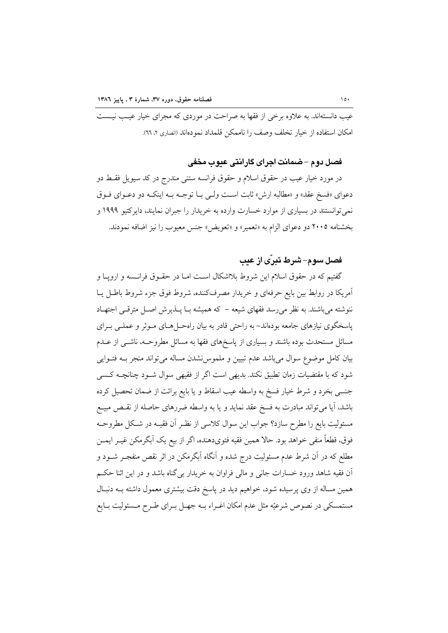عیب دانستهاند. به علاوه برخی از فقها به صراحت در موردی که مجرای خیار عیـب نیـست امكان استفاده از خيار تخلف وصف را ناممكن قلمداد نمودهاند (انصارى ٢، ٦٦).

## فصل دوم –ضمانت اجراي گارانتي عبوب مخفي

در مورد خيار عيب در حقوق اسلام و حقوق فرانسه ستني مندرج در كد سيويل فقـط دو دعواي «فسخ عقد» و «مطالبه ارش» ثابت است ول<sub>حي</sub> بــا توجــه بــه اينكــه دو دعــواي فــوق نمی توانستند در بسیاری از موارد خسارت وارده به خریدار را جبران نمایند، دایرکتیو ۱۹۹۹ و بخشنامه ٢٠٠٥ دو دعواي الزام به «تعمير» و «تعويض» جنس معيوب را نيز اضافه نمودند.

# فصل سوم–شرط تبری از عب

گفتیم که در حقوق اسلام این شروط بلااشکال است امـا در حقــوق فرانــسه و اروپــا و آمریکا در روابط بین بایع حرفهای و خریدار مصرفکننده، شروط فوق جزء شروط باطل یـا ننوشته میباشند. به نظر میرسد فقهای شیعه – که همیشه بـا پـذیرش اصـل مترقـی اجتهـاد یاسخگوی نیازهای جامعه بودهاند– به راحتی قادر به بیان راهحـلهـای مـوثر و عملـی بـرای مسائل مستحدث بوده باشند و بسیاری از پاسخهای فقها به مسائل مطروحـه، ناشــی از عــدم بیان کامل موضوع سوال میباشد عدم تبیین و ملموس نشدن مساله می تواند منجر بـه فتـوایی شود که با مقتضیات زمان تطبیق نکند. بدیهی است اگر از فقیهی سوال شـود چنانچــه کـسی جنسی بخرد و شرط خیار فسخ به واسطه عیب اسقاط و یا بایع برائت از ضمان تحصیل کرده باشد، آیا میتواند مبادرت به فسخ عقد نماید و یا به واسطه ضررهای حاصله از نقـص مبیــع مسئولیت بایع را مطرح سازد؟ جواب این سوال کلاسی از نظـر آن فقیــه در شــکل مطروحــه فوق، قطعاً منفي خواهد بود. حالا همين فقيه فتوىدهنده، اگر از بيع يک اَبگرمکن غيــر ايمــن مطلع که در آن شرط عدم مسئولیت درج شده و آنگاه آبگرمکن در اثر نقص منفجـر شــود و آن فقیه شاهد ورود خسارات جانبی و مالی فراوان به خریدار بی گناه باشد و در این اثنا حکم همین مساله از وی پرسیده شود، خواهیم دید در پاسخ دقت بیشتری معمول داشته بـه دنبـال مستمسکی در نصوص شرعیّه مثل عدم امکان اغـراء بــه جهـل بــرای طــرح مــسئولیت بــایع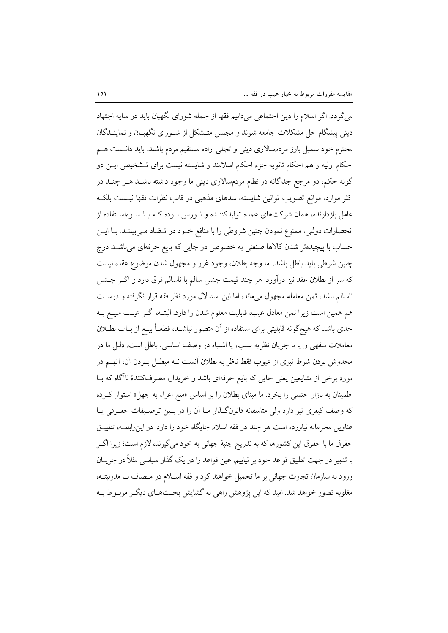می گردد. اگر اسلام را دین اجتماعی میدانیم فقها از جمله شورای نگهبان باید در سایه اجتهاد دینی پیشگام حل مشکلات جامعه شوند و مجلس متـشکل از شـورای نگهبـان و نماینــدگان محترم خود سمبل بارز مردمسالاري ديني و تجلي اراده مستقيم مردم باشند. بايد دانـست هــم احکام اولیه و هم احکام ثانویه جزء احکام اسلامند و شایسته نیست برای تـشخیص ایــن دو گونه حکم، دو مرجع جداگانه در نظام مردمسالاری دینی ما وجود داشته باشـد هــر چنــد در اکثر موارد، موانع تصویب قوانین شایسته، سدهای مذهبی در قالب نظرات فقها نیست بلکه عامل بازدارنده، همان شرکتهای عمده تولیدکننـده و نــورس بــوده کــه بــا ســوءاســتفاده از انحصارات دولتي، ممنوع نمودن چنين شروطي را با منافع خـود در تـضاد مـي بيننـد. بــا ايــن حساب با پیچیدهتر شدن کالاها صنعتی به خصوص در جایی که بایع حرفهای میباشـد درج چنین شرطی باید باطل باشد. اما وجه بطلان، وجود غرر و مجهول شدن موضوع عقد، نیست كه سر از بطلان عقد نيز درآورد. هر چند قيمت جنس سالم با ناسالم فرق دارد و اگـر جـنس ناسالم باشد، ثمن معامله مجهول میماند، اما این استدلال مورد نظر فقه قرار نگرفته و درست هم همین است زیرا ثمن معادل عیب، قابلیت معلوم شدن را دارد. البتـه، اگـر عیـب مبیـع بـه حدي باشد كه هيچگونه قابليتي براي استفاده از آن متصور نباشـد، قطعـاً بيــع از بــاب بطــلان معاملات سفهي و يا با جريان نظريه سبب، يا اشتباه در وصف اساسي، باطل است. دليل ما در مخدوش بودن شرط تبری از عیوب فقط ناظر به بطلان آنست نــه مبطــل بــودن آن، آنهــم در مورد برخي از متبايعين يعني جايي كه بايع حرفهاي باشد و خريدار، مصرفكنندهٔ ناآگاه كه بــا اطمینان به بازار جنسی را بخرد. ما مبنای بطلان را بر اساس «منع اغراء به جهل» استوار کـرده که وصف کیفری نیز دارد ولی متاسفانه قانونگـذار مـا اَن را در بـین توصـیفات حقــوقی یــا عناوین مجرمانه نیاورده است هر چند در فقه اسلام جایگاه خود را دارد. در این رابطـه، تطبیــق حقوق ما با حقوق این کشورها که به تدریج جنبهٔ جهانی به خود می گیرند، لازم است؛ زیرا اگـر با تدبیر در جهت تطبیق قواعد خود بر نیاییم، عین قواعد را در یک گذار سیاسی مثلاً در جریـان ورود به سازمان تجارت جهانی بر ما تحمیل خواهند کرد و فقه اسـلام در مـصاف بـا مدرنیتـه، مغلوبه تصور خواهد شد. امید که این یژوهش راهی به گشایش بحـثهـای دیگـر مربـوط بـه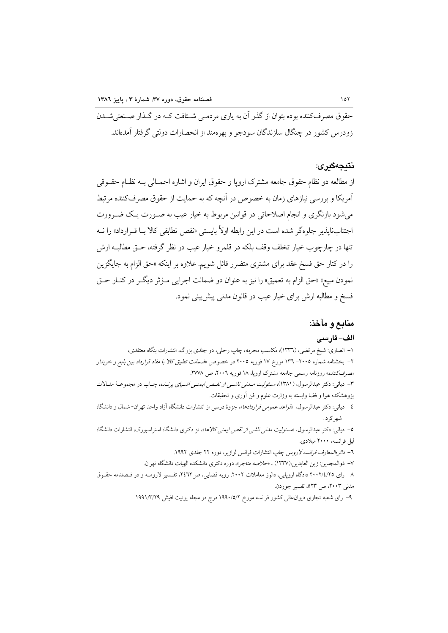حقوق مصرفکننده بوده بتوان از گذر آن به پاری مردمے شـتافت کــه در گــذار صــنعتے شــدن زودرس کشور در چنگال سازندگان سودجو و بهر معند از انحصارات دولتی گرفتار آمدهاند.

#### نتىجەگىر ي:

از مطالعه دو نظام حقوق جامعه مشترک اروپا و حقوق ایران و اشاره اجمــالی بــه نظــام حقــوقی آمریکا و بررسی نیازهای زمان به خصوص در آنچه که به حمایت از حقوق مصرفکننده مرتبط می شود بازنگری و انجام اصلاحاتی در قوانین مربوط به خیار عیب به صـورت یـک ضـرورت اجتنابنایذیر جلوهگر شده است در این رابطه اولاً بایستی «نقص تطابقی کالا بــا قــرارداد» را نــه تنها در چارچوب خیار تخلف وقف بلکه در قلمرو خیار عیب در نظر گرفته، حــق مطالبــه ارش را در کنار حق فسخ عقد برای مشتری متضرر قائل شویم. علاوه بر اینکه «حق الزام به جایگزین نمودن مبيع» «حق الزام به تعميق» را نيز به عنوان دو ضمانت اجرايي مـؤثر ديگـر در كنــار حــق فسخ و مطالبه ارش برای خیار عیب در قانون مدنی پیش بینی نمود.

## منابع و مآخذ:

#### الف– فارسى

۱– انصاری: شیخ مرتضی، (۱۳۳٦)، مکا*سب محرمه*، چاپ رحلی، دو جلدی بزرگ، انتشارات بنگاه معتقدی، ۲– بخشنامه شماره ۲۰۰۵– ۱۳۲ مورخ ۱۷ فوریه ۲۰۰۵ در خصوص «*ضمانت تطبیق کالا با مفاد قرارداد بین بایع و خرینار* مصرف كننده» روزنامه رسمي جامعه مشترك ارويا، ١٨ فوريه ٢٠٠٦، ص ٢٧٧٨. ۳- دیانی: دکتر عبدالرسول، (۱۳۸۱)، *مسئولیت مـلـنی ناشــی از نقـص ایمنــی اشــیای پرنـلـه*، چـاپ در مجموعـهٔ مقـالات پژوهشکده هوا و فضا وابسته به وزارت علوم و فن آوری و تحقیقات.

٤– دياني: دكتر عبدالرسول، «*قواعد عمومي قراردادها*»، جزوة درسي از انتشارات دانشگاه آزاد واحد تهران- شمال و دانشگاه شهرکر د .

0- دیانی: دکتر عبدالرسول، «*مسئولیت مدنی ناشی از نقص ایمنی کالاها*»، تز دکتری دانشگاه استراسبورک، انتشارات دانشگاه ليل فرانسه، ۲۰۰۰ میلادی.

٦– *دائرهالمعارف فرانسه لاروس* چاپ انتشارات فرانس لوازیر، دوره ٢٢ جلدی ١٩٩٢.

٧- ذوالمجدين: زين العابدين،(١٣٣٧) ، «خلاصه متاجر»، دوره دكترى دانشكده الهيات دانشگاه تهران.

٨– رای ٢٠٠٢/٤/٢٥ دادگاه اروپايي، دالوز معاملات ٢٠٠٢، رويه قضايي، ص٣٤٦٢، تفسير لارومـه و در فـصلنامه حقـوق مدنی ۲۰۰۳، ص ۵۲۳، تفسیر جوردن.

۹– رای شعبه تجاری دیوان عالمی کشور فرانسه مورخ ۱۹۹۰/۵/۲ درج در مجله پوتیت افیش ۱۹۹۱/۳/۲۹